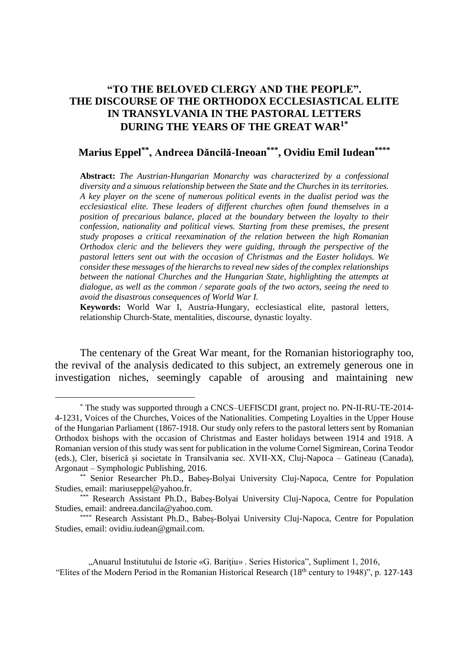## **"TO THE BELOVED CLERGY AND THE PEOPLE". THE DISCOURSE OF THE ORTHODOX ECCLESIASTICAL ELITE IN TRANSYLVANIA IN THE PASTORAL LETTERS DURING THE YEARS OF THE GREAT WAR1\***

## **Marius Eppel\*\*, Andreea Dăncilă-Ineoan\*\*\*, Ovidiu Emil Iudean\*\*\*\***

**Abstract:** *The Austrian-Hungarian Monarchy was characterized by a confessional diversity and a sinuous relationship between the State and the Churches in its territories. A key player on the scene of numerous political events in the dualist period was the ecclesiastical elite. These leaders of different churches often found themselves in a position of precarious balance, placed at the boundary between the loyalty to their confession, nationality and political views. Starting from these premises, the present study proposes a critical reexamination of the relation between the high Romanian Orthodox cleric and the believers they were guiding, through the perspective of the pastoral letters sent out with the occasion of Christmas and the Easter holidays. We consider these messages of the hierarchs to reveal new sides of the complex relationships between the national Churches and the Hungarian State, highlighting the attempts at dialogue, as well as the common / separate goals of the two actors, seeing the need to avoid the disastrous consequences of World War I.* 

**Keywords:** World War I, Austria-Hungary, ecclesiastical elite, pastoral letters, relationship Church-State, mentalities, discourse, dynastic loyalty.

The centenary of the Great War meant, for the Romanian historiography too, the revival of the analysis dedicated to this subject, an extremely generous one in investigation niches, seemingly capable of arousing and maintaining new

<sup>\*</sup> The study was supported through a CNCS–UEFISCDI grant, project no. PN-II-RU-TE-2014- 4-1231, Voices of the Churches, Voices of the Nationalities. Competing Loyalties in the Upper House of the Hungarian Parliament (1867-1918. Our study only refers to the pastoral letters sent by Romanian Orthodox bishops with the occasion of Christmas and Easter holidays between 1914 and 1918. A Romanian version of this study was sent for publication in the volume Cornel Sigmirean, Corina Teodor (eds.), Cler, biserică și societate în Transilvania sec. XVII-XX, Cluj-Napoca – Gatineau (Canada), Argonaut – Symphologic Publishing, 2016.

<sup>\*\*</sup> Senior Researcher Ph.D., Babeș-Bolyai University Cluj-Napoca, Centre for Population Studies, email: mariuseppel@yahoo.fr.

<sup>\*\*\*</sup> Research Assistant Ph.D., Babeș-Bolyai University Cluj-Napoca, Centre for Population Studies, email: andreea.dancila@yahoo.com.

<sup>\*\*\*\*</sup> Research Assistant Ph.D., Babeș-Bolyai University Cluj-Napoca, Centre for Population Studies, email: ovidiu.iudean@gmail.com.

<sup>&</sup>quot;Anuarul Institutului de Istorie «G. Bariţiu» . Series Historica", Supliment 1, 2016, "Elites of the Modern Period in the Romanian Historical Research (18th century to 1948)", p. 127-143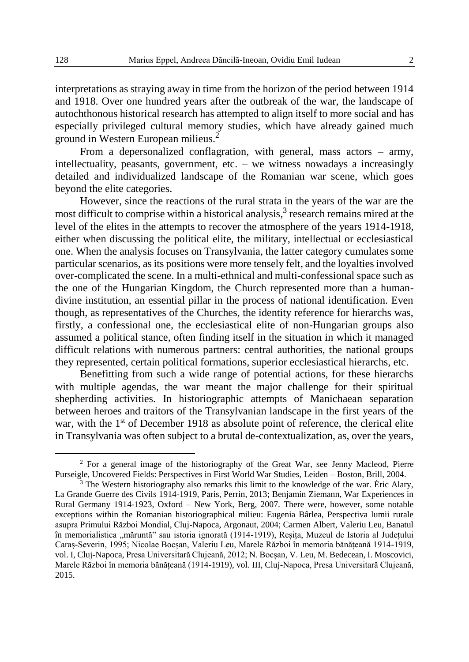interpretations as straying away in time from the horizon of the period between 1914 and 1918. Over one hundred years after the outbreak of the war, the landscape of autochthonous historical research has attempted to align itself to more social and has especially privileged cultural memory studies, which have already gained much ground in Western European milieus.<sup>2</sup>

From a depersonalized conflagration, with general, mass actors – army, intellectuality, peasants, government, etc. – we witness nowadays a increasingly detailed and individualized landscape of the Romanian war scene, which goes beyond the elite categories.

However, since the reactions of the rural strata in the years of the war are the most difficult to comprise within a historical analysis, 3 research remains mired at the level of the elites in the attempts to recover the atmosphere of the years 1914-1918, either when discussing the political elite, the military, intellectual or ecclesiastical one. When the analysis focuses on Transylvania, the latter category cumulates some particular scenarios, as its positions were more tensely felt, and the loyalties involved over-complicated the scene. In a multi-ethnical and multi-confessional space such as the one of the Hungarian Kingdom, the Church represented more than a humandivine institution, an essential pillar in the process of national identification. Even though, as representatives of the Churches, the identity reference for hierarchs was, firstly, a confessional one, the ecclesiastical elite of non-Hungarian groups also assumed a political stance, often finding itself in the situation in which it managed difficult relations with numerous partners: central authorities, the national groups they represented, certain political formations, superior ecclesiastical hierarchs, etc.

Benefitting from such a wide range of potential actions, for these hierarchs with multiple agendas, the war meant the major challenge for their spiritual shepherding activities. In historiographic attempts of Manichaean separation between heroes and traitors of the Transylvanian landscape in the first years of the war, with the  $1<sup>st</sup>$  of December 1918 as absolute point of reference, the clerical elite in Transylvania was often subject to a brutal de-contextualization, as, over the years,

<sup>2</sup> For a general image of the historiography of the Great War, see Jenny Macleod, Pierre Purseigle, Uncovered Fields: Perspectives in First World War Studies, Leiden – Boston, Brill, 2004.

<sup>&</sup>lt;sup>3</sup> The Western historiography also remarks this limit to the knowledge of the war. Éric Alary, La Grande Guerre des Civils 1914-1919, Paris, Perrin, 2013; Benjamin Ziemann, War Experiences in Rural Germany 1914-1923, Oxford – New York, Berg, 2007. There were, however, some notable exceptions within the Romanian historiographical milieu: Eugenia Bârlea, Perspectiva lumii rurale asupra Primului Război Mondial, Cluj-Napoca, Argonaut, 2004; Carmen Albert, Valeriu Leu, Banatul în memorialistica "măruntă" sau istoria ignorată (1914-1919), Reșița, Muzeul de Istoria al Județului Caraș-Severin, 1995; Nicolae Bocșan, Valeriu Leu, Marele Război în memoria bănățeană 1914-1919, vol. I, Cluj-Napoca, Presa Universitară Clujeană, 2012; N. Bocșan, V. Leu, M. Bedecean, I. Moscovici, Marele Război în memoria bănățeană (1914-1919), vol. III, Cluj-Napoca, Presa Universitară Clujeană, 2015.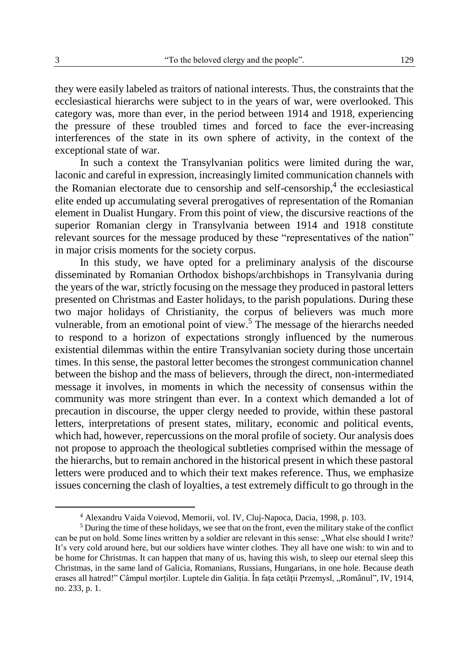they were easily labeled as traitors of national interests. Thus, the constraints that the ecclesiastical hierarchs were subject to in the years of war, were overlooked. This category was, more than ever, in the period between 1914 and 1918, experiencing the pressure of these troubled times and forced to face the ever-increasing interferences of the state in its own sphere of activity, in the context of the exceptional state of war.

In such a context the Transylvanian politics were limited during the war, laconic and careful in expression, increasingly limited communication channels with the Romanian electorate due to censorship and self-censorship, 4 the ecclesiastical elite ended up accumulating several prerogatives of representation of the Romanian element in Dualist Hungary. From this point of view, the discursive reactions of the superior Romanian clergy in Transylvania between 1914 and 1918 constitute relevant sources for the message produced by these "representatives of the nation" in major crisis moments for the society corpus.

In this study, we have opted for a preliminary analysis of the discourse disseminated by Romanian Orthodox bishops/archbishops in Transylvania during the years of the war, strictly focusing on the message they produced in pastoral letters presented on Christmas and Easter holidays, to the parish populations. During these two major holidays of Christianity, the corpus of believers was much more vulnerable, from an emotional point of view.<sup>5</sup> The message of the hierarchs needed to respond to a horizon of expectations strongly influenced by the numerous existential dilemmas within the entire Transylvanian society during those uncertain times. In this sense, the pastoral letter becomes the strongest communication channel between the bishop and the mass of believers, through the direct, non-intermediated message it involves, in moments in which the necessity of consensus within the community was more stringent than ever. In a context which demanded a lot of precaution in discourse, the upper clergy needed to provide, within these pastoral letters, interpretations of present states, military, economic and political events, which had, however, repercussions on the moral profile of society. Our analysis does not propose to approach the theological subtleties comprised within the message of the hierarchs, but to remain anchored in the historical present in which these pastoral letters were produced and to which their text makes reference. Thus, we emphasize issues concerning the clash of loyalties, a test extremely difficult to go through in the

<sup>4</sup> Alexandru Vaida Voievod, Memorii, vol. IV, Cluj-Napoca, Dacia, 1998, p. 103.

<sup>5</sup> During the time of these holidays, we see that on the front, even the military stake of the conflict can be put on hold. Some lines written by a soldier are relevant in this sense: "What else should I write? It's very cold around here, but our soldiers have winter clothes. They all have one wish: to win and to be home for Christmas. It can happen that many of us, having this wish, to sleep our eternal sleep this Christmas, in the same land of Galicia, Romanians, Russians, Hungarians, in one hole. Because death erases all hatred!" Câmpul morților. Luptele din Galiția. În fața cetății Przemysl, "Românul", IV, 1914, no. 233, p. 1.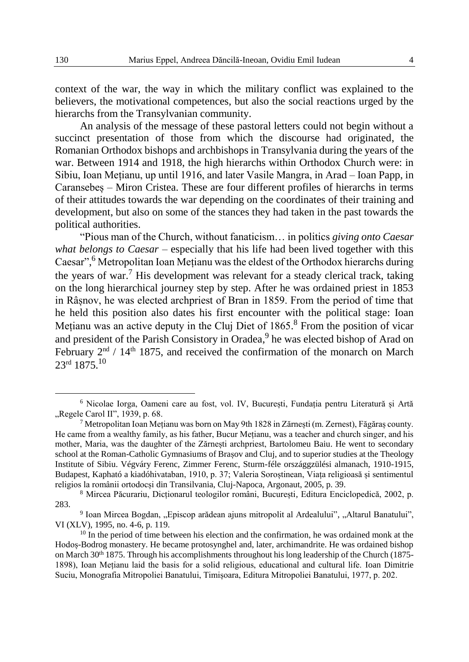context of the war, the way in which the military conflict was explained to the believers, the motivational competences, but also the social reactions urged by the hierarchs from the Transylvanian community.

An analysis of the message of these pastoral letters could not begin without a succinct presentation of those from which the discourse had originated, the Romanian Orthodox bishops and archbishops in Transylvania during the years of the war. Between 1914 and 1918, the high hierarchs within Orthodox Church were: in Sibiu, Ioan Mețianu, up until 1916, and later Vasile Mangra, in Arad – Ioan Papp, in Caransebeș – Miron Cristea. These are four different profiles of hierarchs in terms of their attitudes towards the war depending on the coordinates of their training and development, but also on some of the stances they had taken in the past towards the political authorities.

"Pious man of the Church, without fanaticism… in politics *giving onto Caesar what belongs to Caesar* – especially that his life had been lived together with this Caesar", <sup>6</sup> Metropolitan Ioan Mețianu was the eldest of the Orthodox hierarchs during the years of war.<sup>7</sup> His development was relevant for a steady clerical track, taking on the long hierarchical journey step by step. After he was ordained priest in 1853 in Râșnov, he was elected archpriest of Bran in 1859. From the period of time that he held this position also dates his first encounter with the political stage: Ioan Mețianu was an active deputy in the Cluj Diet of 1865.<sup>8</sup> From the position of vicar and president of the Parish Consistory in Oradea,<sup>9</sup> he was elected bishop of Arad on February  $2<sup>nd</sup>$  / 14<sup>th</sup> 1875, and received the confirmation of the monarch on March  $23$ <sup>rd</sup> 1875.<sup>10</sup>

<sup>6</sup> Nicolae Iorga, Oameni care au fost, vol. IV, București, Fundația pentru Literatură și Artă "Regele Carol II", 1939, p. 68.

<sup>&</sup>lt;sup>7</sup> Metropolitan Ioan Mețianu was born on May 9th 1828 in Zărnești (m. Zerneșt), Făgăraș county. He came from a wealthy family, as his father, Bucur Mețianu, was a teacher and church singer, and his mother, Maria, was the daughter of the Zărnești archpriest, Bartolomeu Baiu. He went to secondary school at the Roman-Catholic Gymnasiums of Brașov and Cluj, and to superior studies at the Theology Institute of Sibiu. Végváry Ferenc, Zimmer Ferenc, Sturm-féle országgzülési almanach, 1910-1915, Budapest, Kapható a kiadóhivataban, 1910, p. 37; Valeria Soroștinean, Viața religioasă și sentimentul religios la românii ortodocși din Transilvania, Cluj-Napoca, Argonaut, 2005, p. 39.

<sup>8</sup> Mircea Păcurariu, Dicționarul teologilor români, București, Editura Enciclopedică, 2002, p. 283.

<sup>&</sup>lt;sup>9</sup> Ioan Mircea Bogdan, "Episcop arădean ajuns mitropolit al Ardealului", "Altarul Banatului", VI (XLV), 1995, no. 4-6, p. 119.

 $10$  In the period of time between his election and the confirmation, he was ordained monk at the Hodoș-Bodrog monastery. He became protosynghel and, later, archimandrite. He was ordained bishop on March 30<sup>th</sup> 1875. Through his accomplishments throughout his long leadership of the Church (1875-1898), Ioan Mețianu laid the basis for a solid religious, educational and cultural life. Ioan Dimitrie Suciu, Monografia Mitropoliei Banatului, Timișoara, Editura Mitropoliei Banatului, 1977, p. 202.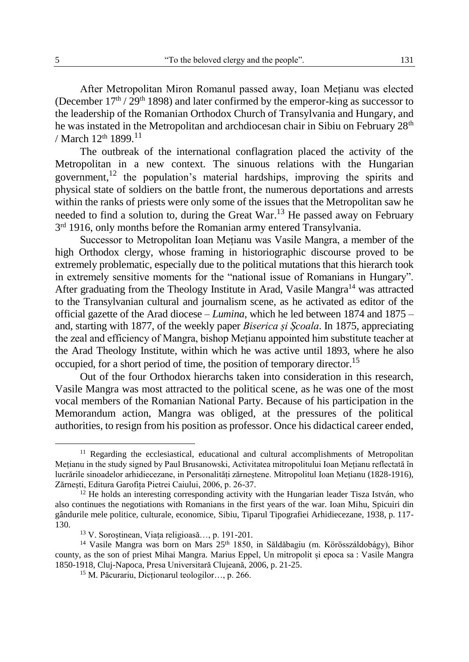After Metropolitan Miron Romanul passed away, Ioan Mețianu was elected (December  $17<sup>th</sup> / 29<sup>th</sup>$  1898) and later confirmed by the emperor-king as successor to the leadership of the Romanian Orthodox Church of Transylvania and Hungary, and he was instated in the Metropolitan and archdiocesan chair in Sibiu on February 28<sup>th</sup> / March  $12^{th}$  1899.<sup>11</sup>

The outbreak of the international conflagration placed the activity of the Metropolitan in a new context. The sinuous relations with the Hungarian government,<sup>12</sup> the population's material hardships, improving the spirits and physical state of soldiers on the battle front, the numerous deportations and arrests within the ranks of priests were only some of the issues that the Metropolitan saw he needed to find a solution to, during the Great War.<sup>13</sup> He passed away on February 3<sup>rd</sup> 1916, only months before the Romanian army entered Transylvania.

Successor to Metropolitan Ioan Mețianu was Vasile Mangra, a member of the high Orthodox clergy, whose framing in historiographic discourse proved to be extremely problematic, especially due to the political mutations that this hierarch took in extremely sensitive moments for the "national issue of Romanians in Hungary". After graduating from the Theology Institute in Arad, Vasile Mangra<sup>14</sup> was attracted to the Transylvanian cultural and journalism scene, as he activated as editor of the official gazette of the Arad diocese – *Lumina*, which he led between 1874 and 1875 – and, starting with 1877, of the weekly paper *Biserica și Școala*. In 1875, appreciating the zeal and efficiency of Mangra, bishop Mețianu appointed him substitute teacher at the Arad Theology Institute, within which he was active until 1893, where he also occupied, for a short period of time, the position of temporary director.<sup>15</sup>

Out of the four Orthodox hierarchs taken into consideration in this research, Vasile Mangra was most attracted to the political scene, as he was one of the most vocal members of the Romanian National Party. Because of his participation in the Memorandum action, Mangra was obliged, at the pressures of the political authorities, to resign from his position as professor. Once his didactical career ended,

<sup>&</sup>lt;sup>11</sup> Regarding the ecclesiastical, educational and cultural accomplishments of Metropolitan Mețianu in the study signed by Paul Brusanowski, Activitatea mitropolitului Ioan Mețianu reflectată în lucrările sinoadelor arhidiecezane, in Personalități zărneștene. Mitropolitul Ioan Mețianu (1828-1916), Zărnești, Editura Garofița Pietrei Caiului, 2006, p. 26-37.

 $12$  He holds an interesting corresponding activity with the Hungarian leader Tisza István, who also continues the negotiations with Romanians in the first years of the war. Ioan Mihu, Spicuiri din gândurile mele politice, culturale, economice, Sibiu, Tiparul Tipografiei Arhidiecezane, 1938, p. 117- 130.

<sup>13</sup> V. Soroștinean, Viața religioasă…, p. 191-201.

<sup>&</sup>lt;sup>14</sup> Vasile Mangra was born on Mars  $25<sup>th</sup> 1850$ , in Săldăbagiu (m. Körösszáldobágy), Bihor county, as the son of priest Mihai Mangra. Marius Eppel, Un mitropolit și epoca sa : Vasile Mangra 1850-1918, Cluj-Napoca, Presa Universitară Clujeană, 2006, p. 21-25.

<sup>15</sup> M. Păcurariu, Dicționarul teologilor…, p. 266.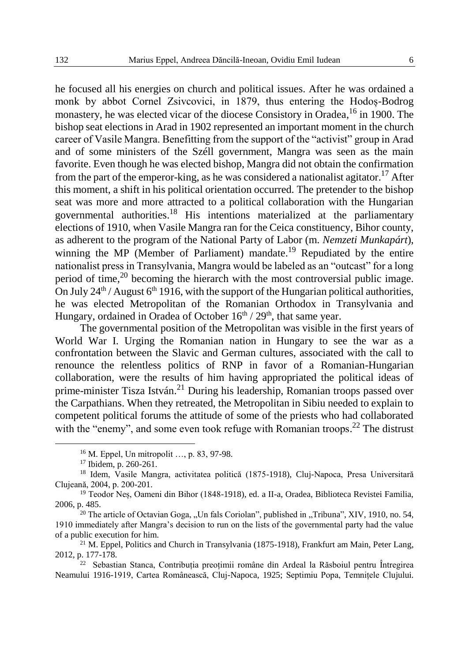he focused all his energies on church and political issues. After he was ordained a monk by abbot Cornel Zsivcovici, in 1879, thus entering the Hodoș-Bodrog monastery, he was elected vicar of the diocese Consistory in Oradea, <sup>16</sup> in 1900. The bishop seat elections in Arad in 1902 represented an important moment in the church career of Vasile Mangra. Benefitting from the support of the "activist" group in Arad and of some ministers of the Széll government, Mangra was seen as the main favorite. Even though he was elected bishop, Mangra did not obtain the confirmation from the part of the emperor-king, as he was considered a nationalist agitator.<sup>17</sup> After this moment, a shift in his political orientation occurred. The pretender to the bishop seat was more and more attracted to a political collaboration with the Hungarian governmental authorities.<sup>18</sup> His intentions materialized at the parliamentary elections of 1910, when Vasile Mangra ran for the Ceica constituency, Bihor county, as adherent to the program of the National Party of Labor (m. *Nemzeti Munkapárt*), winning the MP (Member of Parliament) mandate.<sup>19</sup> Repudiated by the entire nationalist press in Transylvania, Mangra would be labeled as an "outcast" for a long period of time, $2<sup>0</sup>$  becoming the hierarch with the most controversial public image. On July  $24^{th}$  / August  $6^{th}$  1916, with the support of the Hungarian political authorities, he was elected Metropolitan of the Romanian Orthodox in Transylvania and Hungary, ordained in Oradea of October  $16<sup>th</sup> / 29<sup>th</sup>$ , that same year.

The governmental position of the Metropolitan was visible in the first years of World War I. Urging the Romanian nation in Hungary to see the war as a confrontation between the Slavic and German cultures, associated with the call to renounce the relentless politics of RNP in favor of a Romanian-Hungarian collaboration, were the results of him having appropriated the political ideas of prime-minister Tisza István.<sup>21</sup> During his leadership, Romanian troops passed over the Carpathians. When they retreated, the Metropolitan in Sibiu needed to explain to competent political forums the attitude of some of the priests who had collaborated with the "enemy", and some even took refuge with Romanian troops.<sup>22</sup> The distrust

<sup>16</sup> M. Eppel, Un mitropolit …, p. 83, 97-98.

<sup>17</sup> Ibidem, p. 260-261.

<sup>&</sup>lt;sup>18</sup> Idem, Vasile Mangra, activitatea politică (1875-1918), Cluj-Napoca, Presa Universitară Clujeană, 2004, p. 200-201.

<sup>&</sup>lt;sup>19</sup> Teodor Nes, Oameni din Bihor (1848-1918), ed. a II-a, Oradea, Biblioteca Revistei Familia, 2006, p. 485.

 $20$  The article of Octavian Goga, "Un fals Coriolan", published in "Tribuna", XIV, 1910, no. 54, 1910 immediately after Mangra's decision to run on the lists of the governmental party had the value of a public execution for him.

 $^{21}$  M. Eppel, Politics and Church in Transylvania (1875-1918), Frankfurt am Main, Peter Lang, 2012, p. 177-178.

<sup>22</sup> Sebastian Stanca, Contribuția preoțimii române din Ardeal la Răsboiul pentru Întregirea Neamului 1916-1919, Cartea Românească, Cluj-Napoca, 1925; Septimiu Popa, Temnițele Clujului.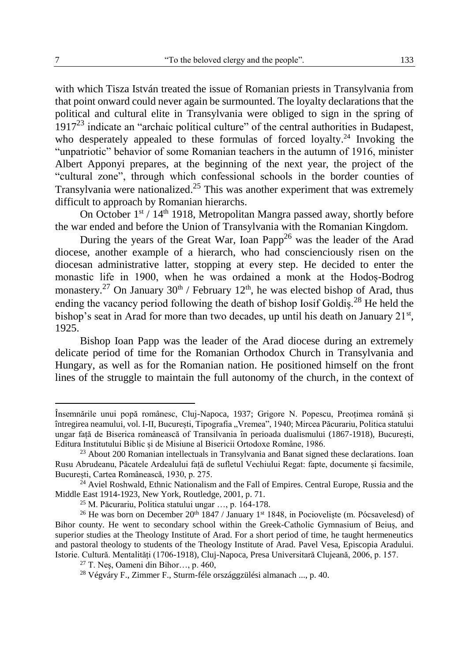with which Tisza István treated the issue of Romanian priests in Transylvania from that point onward could never again be surmounted. The loyalty declarations that the political and cultural elite in Transylvania were obliged to sign in the spring of  $1917<sup>23</sup>$  indicate an "archaic political culture" of the central authorities in Budapest, who desperately appealed to these formulas of forced loyalty.<sup>24</sup> Invoking the "unpatriotic" behavior of some Romanian teachers in the autumn of 1916, minister Albert Apponyi prepares, at the beginning of the next year, the project of the "cultural zone", through which confessional schools in the border counties of Transylvania were nationalized.<sup>25</sup> This was another experiment that was extremely difficult to approach by Romanian hierarchs.

On October  $1^{st}$  /  $14^{th}$  1918, Metropolitan Mangra passed away, shortly before the war ended and before the Union of Transylvania with the Romanian Kingdom.

During the years of the Great War, Ioan Papp<sup>26</sup> was the leader of the Arad diocese, another example of a hierarch, who had conscienciously risen on the diocesan administrative latter, stopping at every step. He decided to enter the monastic life in 1900, when he was ordained a monk at the Hodoș-Bodrog monastery.<sup>27</sup> On January 30<sup>th</sup> / February 12<sup>th</sup>, he was elected bishop of Arad, thus ending the vacancy period following the death of bishop Iosif Goldis.<sup>28</sup> He held the bishop's seat in Arad for more than two decades, up until his death on January  $21^{st}$ , 1925.

Bishop Ioan Papp was the leader of the Arad diocese during an extremely delicate period of time for the Romanian Orthodox Church in Transylvania and Hungary, as well as for the Romanian nation. He positioned himself on the front lines of the struggle to maintain the full autonomy of the church, in the context of

Însemnările unui popă românesc, Cluj-Napoca, 1937; Grigore N. Popescu, Preoțimea română și întregirea neamului, vol. I-II, București, Tipografia "Vremea", 1940; Mircea Păcurariu, Politica statului ungar față de Biserica românească of Transilvania în perioada dualismului (1867-1918), București, Editura Institutului Biblic și de Misiune al Bisericii Ortodoxe Române, 1986.

<sup>&</sup>lt;sup>23</sup> About 200 Romanian intellectuals in Transylvania and Banat signed these declarations. Ioan Rusu Abrudeanu, Păcatele Ardealului față de sufletul Vechiului Regat: fapte, documente și facsimile, București, Cartea Românească, 1930, p. 275.

 $^{24}$  Aviel Roshwald, Ethnic Nationalism and the Fall of Empires. Central Europe, Russia and the Middle East 1914-1923, New York, Routledge, 2001, p. 71.

<sup>25</sup> M. Păcurariu, Politica statului ungar …, p. 164-178.

<sup>&</sup>lt;sup>26</sup> He was born on December 20<sup>th</sup> 1847 / January 1<sup>st</sup> 1848, in Pocioveliște (m. Pócsavelesd) of Bihor county. He went to secondary school within the Greek-Catholic Gymnasium of Beiuș, and superior studies at the Theology Institute of Arad. For a short period of time, he taught hermeneutics and pastoral theology to students of the Theology Institute of Arad. Pavel Vesa, Episcopia Aradului. Istorie. Cultură. Mentalități (1706-1918), Cluj-Napoca, Presa Universitară Clujeană, 2006, p. 157.

 $27$  T. Nes, Oameni din Bihor…, p. 460,

<sup>28</sup> Végváry F., Zimmer F., Sturm-féle országgzülési almanach ..., p. 40.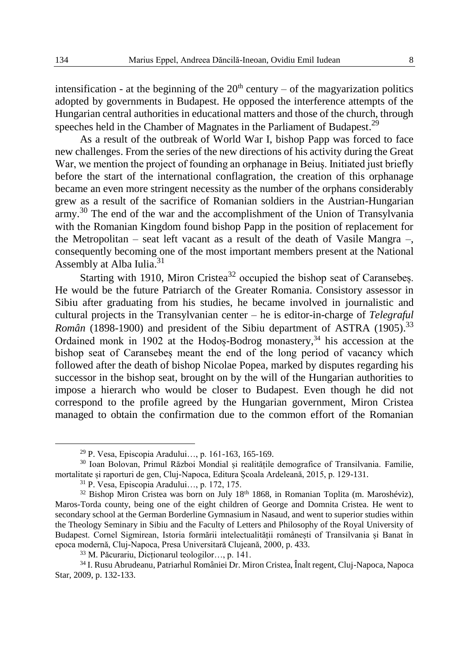intensification - at the beginning of the  $20<sup>th</sup>$  century – of the magyarization politics adopted by governments in Budapest. He opposed the interference attempts of the Hungarian central authorities in educational matters and those of the church, through speeches held in the Chamber of Magnates in the Parliament of Budapest.<sup>29</sup>

As a result of the outbreak of World War I, bishop Papp was forced to face new challenges. From the series of the new directions of his activity during the Great War, we mention the project of founding an orphanage in Beiuș. Initiated just briefly before the start of the international conflagration, the creation of this orphanage became an even more stringent necessity as the number of the orphans considerably grew as a result of the sacrifice of Romanian soldiers in the Austrian-Hungarian army.<sup>30</sup> The end of the war and the accomplishment of the Union of Transylvania with the Romanian Kingdom found bishop Papp in the position of replacement for the Metropolitan – seat left vacant as a result of the death of Vasile Mangra –, consequently becoming one of the most important members present at the National Assembly at Alba Iulia.<sup>31</sup>

Starting with 1910, Miron Cristea<sup>32</sup> occupied the bishop seat of Caransebes. He would be the future Patriarch of the Greater Romania. Consistory assessor in Sibiu after graduating from his studies, he became involved in journalistic and cultural projects in the Transylvanian center – he is editor-in-charge of *Telegraful*  Român (1898-1900) and president of the Sibiu department of ASTRA (1905).<sup>33</sup> Ordained monk in 1902 at the Hodoș-Bodrog monastery, <sup>34</sup> his accession at the bishop seat of Caransebeș meant the end of the long period of vacancy which followed after the death of bishop Nicolae Popea, marked by disputes regarding his successor in the bishop seat, brought on by the will of the Hungarian authorities to impose a hierarch who would be closer to Budapest. Even though he did not correspond to the profile agreed by the Hungarian government, Miron Cristea managed to obtain the confirmation due to the common effort of the Romanian

<sup>29</sup> P. Vesa, Episcopia Aradului…, p. 161-163, 165-169.

<sup>30</sup> Ioan Bolovan, Primul Război Mondial și realitățile demografice of Transilvania. Familie, mortalitate și raporturi de gen, Cluj-Napoca, Editura Școala Ardeleană, 2015, p. 129-131.

<sup>31</sup> P. Vesa, Episcopia Aradului…, p. 172, 175.

 $32$  Bishop Miron Cristea was born on July  $18<sup>th</sup> 1868$ , in Romanian Toplita (m. Maroshéviz), Maros-Torda county, being one of the eight children of George and Domnita Cristea. He went to secondary school at the German Borderline Gymnasium in Nasaud, and went to superior studies within the Theology Seminary in Sibiu and the Faculty of Letters and Philosophy of the Royal University of Budapest. Cornel Sigmirean, Istoria formării intelectualității românești of Transilvania și Banat în epoca modernă, Cluj-Napoca, Presa Universitară Clujeană, 2000, p. 433.

<sup>33</sup> M. Păcurariu, Dicționarul teologilor…, p. 141.

<sup>34</sup> I. Rusu Abrudeanu, Patriarhul României Dr. Miron Cristea, Înalt regent, Cluj-Napoca, Napoca Star, 2009, p. 132-133.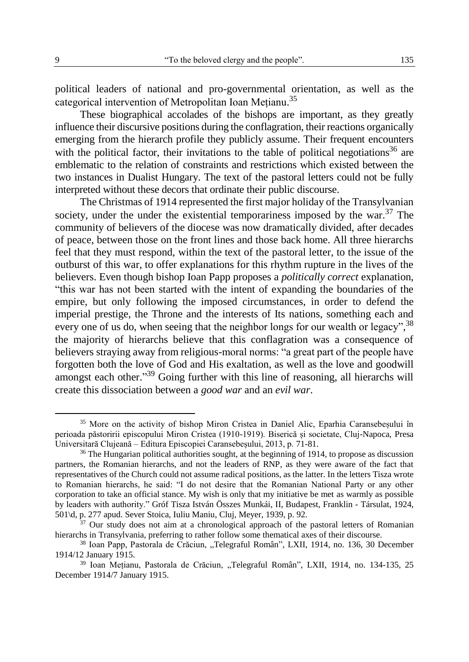political leaders of national and pro-governmental orientation, as well as the categorical intervention of Metropolitan Ioan Mețianu.<sup>35</sup>

These biographical accolades of the bishops are important, as they greatly influence their discursive positions during the conflagration, their reactions organically emerging from the hierarch profile they publicly assume. Their frequent encounters with the political factor, their invitations to the table of political negotiations<sup>36</sup> are emblematic to the relation of constraints and restrictions which existed between the two instances in Dualist Hungary. The text of the pastoral letters could not be fully interpreted without these decors that ordinate their public discourse.

The Christmas of 1914 represented the first major holiday of the Transylvanian society, under the under the existential temporariness imposed by the war. $37$  The community of believers of the diocese was now dramatically divided, after decades of peace, between those on the front lines and those back home. All three hierarchs feel that they must respond, within the text of the pastoral letter, to the issue of the outburst of this war, to offer explanations for this rhythm rupture in the lives of the believers. Even though bishop Ioan Papp proposes a *politically correct* explanation, "this war has not been started with the intent of expanding the boundaries of the empire, but only following the imposed circumstances, in order to defend the imperial prestige, the Throne and the interests of Its nations, something each and every one of us do, when seeing that the neighbor longs for our wealth or legacy", <sup>38</sup> the majority of hierarchs believe that this conflagration was a consequence of believers straying away from religious-moral norms: "a great part of the people have forgotten both the love of God and His exaltation, as well as the love and goodwill amongst each other."<sup>39</sup> Going further with this line of reasoning, all hierarchs will create this dissociation between a *good war* and an *evil war*.

<sup>&</sup>lt;sup>35</sup> More on the activity of bishop Miron Cristea in Daniel Alic, Eparhia Caransebesului în perioada păstoririi episcopului Miron Cristea (1910-1919). Biserică și societate, Cluj-Napoca, Presa Universitară Clujeană – Editura Episcopiei Caransebeșului, 2013, p. 71-81.

<sup>&</sup>lt;sup>36</sup> The Hungarian political authorities sought, at the beginning of 1914, to propose as discussion partners, the Romanian hierarchs, and not the leaders of RNP, as they were aware of the fact that representatives of the Church could not assume radical positions, as the latter. In the letters Tisza wrote to Romanian hierarchs, he said: "I do not desire that the Romanian National Party or any other corporation to take an official stance. My wish is only that my initiative be met as warmly as possible by leaders with authority." Gróf Tisza István Összes Munkái, II, Budapest, Franklin - Társulat, 1924, 501\d, p. 277 apud. Sever Stoica, Iuliu Maniu, Cluj, Meyer, 1939, p. 92.

 $37$  Our study does not aim at a chronological approach of the pastoral letters of Romanian hierarchs in Transylvania, preferring to rather follow some thematical axes of their discourse.

<sup>&</sup>lt;sup>38</sup> Ioan Papp, Pastorala de Crăciun, "Telegraful Român", LXII, 1914, no. 136, 30 December 1914/12 January 1915.

<sup>&</sup>lt;sup>39</sup> Ioan Mețianu, Pastorala de Crăciun, "Telegraful Român", LXII, 1914, no. 134-135, 25 December 1914/7 January 1915.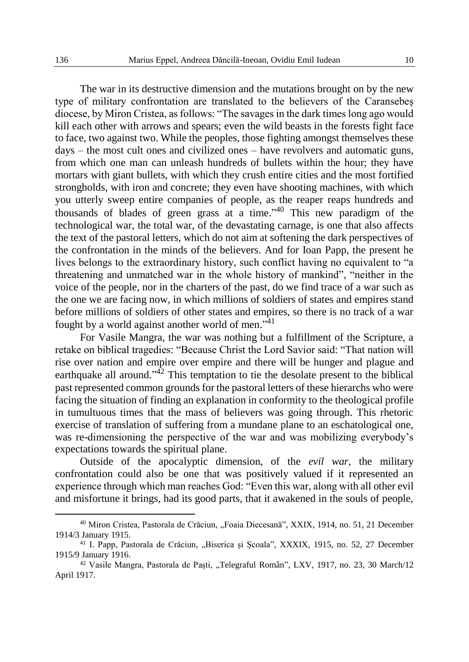The war in its destructive dimension and the mutations brought on by the new type of military confrontation are translated to the believers of the Caransebeș diocese, by Miron Cristea, as follows: "The savages in the dark times long ago would kill each other with arrows and spears; even the wild beasts in the forests fight face to face, two against two. While the peoples, those fighting amongst themselves these days – the most cult ones and civilized ones – have revolvers and automatic guns, from which one man can unleash hundreds of bullets within the hour; they have mortars with giant bullets, with which they crush entire cities and the most fortified strongholds, with iron and concrete; they even have shooting machines, with which you utterly sweep entire companies of people, as the reaper reaps hundreds and thousands of blades of green grass at a time." <sup>40</sup> This new paradigm of the technological war, the total war, of the devastating carnage, is one that also affects the text of the pastoral letters, which do not aim at softening the dark perspectives of the confrontation in the minds of the believers. And for Ioan Papp, the present he lives belongs to the extraordinary history, such conflict having no equivalent to "a threatening and unmatched war in the whole history of mankind", "neither in the voice of the people, nor in the charters of the past, do we find trace of a war such as the one we are facing now, in which millions of soldiers of states and empires stand before millions of soldiers of other states and empires, so there is no track of a war fought by a world against another world of men."<sup>41</sup>

For Vasile Mangra, the war was nothing but a fulfillment of the Scripture, a retake on biblical tragedies: "Because Christ the Lord Savior said: "That nation will rise over nation and empire over empire and there will be hunger and plague and earthquake all around."<sup>42</sup> This temptation to tie the desolate present to the biblical past represented common grounds for the pastoral letters of these hierarchs who were facing the situation of finding an explanation in conformity to the theological profile in tumultuous times that the mass of believers was going through. This rhetoric exercise of translation of suffering from a mundane plane to an eschatological one, was re-dimensioning the perspective of the war and was mobilizing everybody's expectations towards the spiritual plane.

Outside of the apocalyptic dimension, of the *evil war*, the military confrontation could also be one that was positively valued if it represented an experience through which man reaches God: "Even this war, along with all other evil and misfortune it brings, had its good parts, that it awakened in the souls of people,

<sup>&</sup>lt;sup>40</sup> Miron Cristea, Pastorala de Crăciun, "Foaia Diecesană", XXIX, 1914, no. 51, 21 December 1914/3 January 1915.

<sup>&</sup>lt;sup>41</sup> I. Papp, Pastorala de Crăciun, "Biserica și Scoala", XXXIX, 1915, no. 52, 27 December 1915/9 January 1916.

<sup>&</sup>lt;sup>42</sup> Vasile Mangra, Pastorala de Paști, "Telegraful Român", LXV, 1917, no. 23, 30 March/12 April 1917.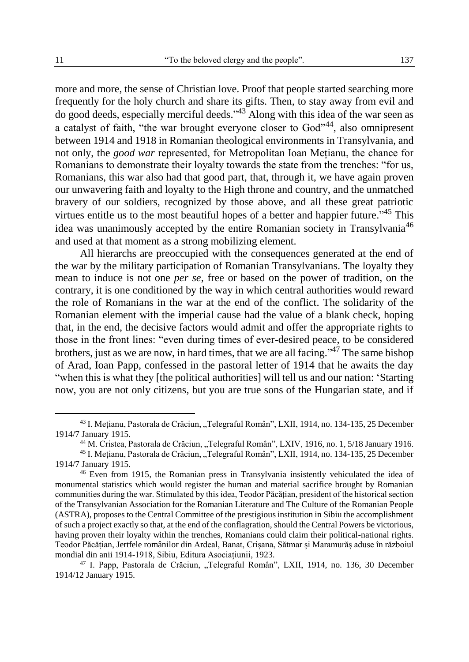more and more, the sense of Christian love. Proof that people started searching more frequently for the holy church and share its gifts. Then, to stay away from evil and do good deeds, especially merciful deeds."<sup>43</sup> Along with this idea of the war seen as a catalyst of faith, "the war brought everyone closer to God"44, also omnipresent between 1914 and 1918 in Romanian theological environments in Transylvania, and not only, the *good war* represented, for Metropolitan Ioan Mețianu, the chance for Romanians to demonstrate their loyalty towards the state from the trenches: "for us, Romanians, this war also had that good part, that, through it, we have again proven our unwavering faith and loyalty to the High throne and country, and the unmatched bravery of our soldiers, recognized by those above, and all these great patriotic virtues entitle us to the most beautiful hopes of a better and happier future.<sup>345</sup> This idea was unanimously accepted by the entire Romanian society in Transylvania<sup>46</sup> and used at that moment as a strong mobilizing element.

All hierarchs are preoccupied with the consequences generated at the end of the war by the military participation of Romanian Transylvanians. The loyalty they mean to induce is not one *per se*, free or based on the power of tradition, on the contrary, it is one conditioned by the way in which central authorities would reward the role of Romanians in the war at the end of the conflict. The solidarity of the Romanian element with the imperial cause had the value of a blank check, hoping that, in the end, the decisive factors would admit and offer the appropriate rights to those in the front lines: "even during times of ever-desired peace, to be considered brothers, just as we are now, in hard times, that we are all facing."<sup>47</sup> The same bishop of Arad, Ioan Papp, confessed in the pastoral letter of 1914 that he awaits the day "when this is what they [the political authorities] will tell us and our nation: 'Starting now, you are not only citizens, but you are true sons of the Hungarian state, and if

<sup>&</sup>lt;sup>43</sup> I. Metianu, Pastorala de Crăciun, "Telegraful Român", LXII, 1914, no. 134-135, 25 December 1914/7 January 1915.

<sup>&</sup>lt;sup>44</sup> M. Cristea, Pastorala de Crăciun, "Telegraful Român", LXIV, 1916, no. 1, 5/18 January 1916.

<sup>&</sup>lt;sup>45</sup> I. Metianu, Pastorala de Crăciun, "Telegraful Român", LXII, 1914, no. 134-135, 25 December 1914/7 January 1915.

<sup>46</sup> Even from 1915, the Romanian press in Transylvania insistently vehiculated the idea of monumental statistics which would register the human and material sacrifice brought by Romanian communities during the war. Stimulated by this idea, Teodor Păcățian, president of the historical section of the Transylvanian Association for the Romanian Literature and The Culture of the Romanian People (ASTRA), proposes to the Central Committee of the prestigious institution in Sibiu the accomplishment of such a project exactly so that, at the end of the conflagration, should the Central Powers be victorious, having proven their loyalty within the trenches, Romanians could claim their political-national rights. Teodor Păcățian, Jertfele românilor din Ardeal, Banat, Crișana, Sătmar și Maramurăș aduse în războiul mondial din anii 1914-1918, Sibiu, Editura Asociațiunii, 1923.

<sup>&</sup>lt;sup>47</sup> I. Papp, Pastorala de Crăciun, "Telegraful Român", LXII, 1914, no. 136, 30 December 1914/12 January 1915.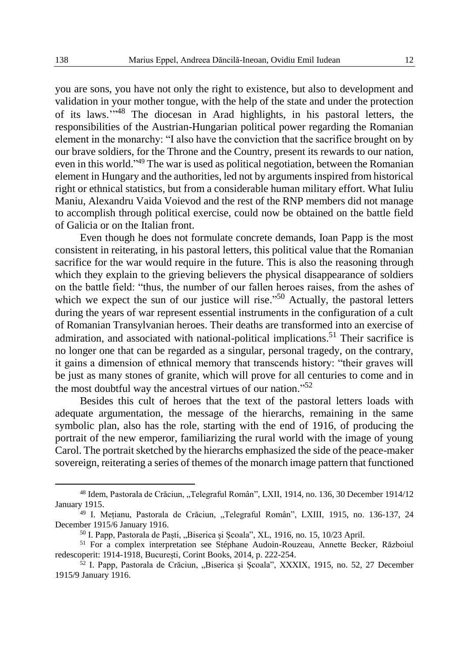you are sons, you have not only the right to existence, but also to development and validation in your mother tongue, with the help of the state and under the protection of its laws.'" <sup>48</sup> The diocesan in Arad highlights, in his pastoral letters, the responsibilities of the Austrian-Hungarian political power regarding the Romanian element in the monarchy: "I also have the conviction that the sacrifice brought on by our brave soldiers, for the Throne and the Country, present its rewards to our nation, even in this world." <sup>49</sup> The war is used as political negotiation, between the Romanian element in Hungary and the authorities, led not by arguments inspired from historical right or ethnical statistics, but from a considerable human military effort. What Iuliu Maniu, Alexandru Vaida Voievod and the rest of the RNP members did not manage to accomplish through political exercise, could now be obtained on the battle field of Galicia or on the Italian front.

Even though he does not formulate concrete demands, Ioan Papp is the most consistent in reiterating, in his pastoral letters, this political value that the Romanian sacrifice for the war would require in the future. This is also the reasoning through which they explain to the grieving believers the physical disappearance of soldiers on the battle field: "thus, the number of our fallen heroes raises, from the ashes of which we expect the sun of our justice will rise."<sup>50</sup> Actually, the pastoral letters during the years of war represent essential instruments in the configuration of a cult of Romanian Transylvanian heroes. Their deaths are transformed into an exercise of admiration, and associated with national-political implications. <sup>51</sup> Their sacrifice is no longer one that can be regarded as a singular, personal tragedy, on the contrary, it gains a dimension of ethnical memory that transcends history: "their graves will be just as many stones of granite, which will prove for all centuries to come and in the most doubtful way the ancestral virtues of our nation."<sup>52</sup>

Besides this cult of heroes that the text of the pastoral letters loads with adequate argumentation, the message of the hierarchs, remaining in the same symbolic plan, also has the role, starting with the end of 1916, of producing the portrait of the new emperor, familiarizing the rural world with the image of young Carol. The portrait sketched by the hierarchs emphasized the side of the peace-maker sovereign, reiterating a series of themes of the monarch image pattern that functioned

<sup>&</sup>lt;sup>48</sup> Idem, Pastorala de Crăciun, "Telegraful Român", LXII, 1914, no. 136, 30 December 1914/12 January 1915.

<sup>&</sup>lt;sup>49</sup> I. Mețianu, Pastorala de Crăciun, "Telegraful Român", LXIII, 1915, no. 136-137, 24 December 1915/6 January 1916.

<sup>&</sup>lt;sup>50</sup> I. Papp, Pastorala de Paști, "Biserica și Școala", XL, 1916, no. 15, 10/23 April.

<sup>51</sup> For a complex interpretation see Stéphane Audoin-Rouzeau, Annette Becker, Războiul redescoperit: 1914-1918, București, Corint Books, 2014, p. 222-254.

 $52$  I. Papp, Pastorala de Crăciun, "Biserica și Școala", XXXIX, 1915, no. 52, 27 December 1915/9 January 1916.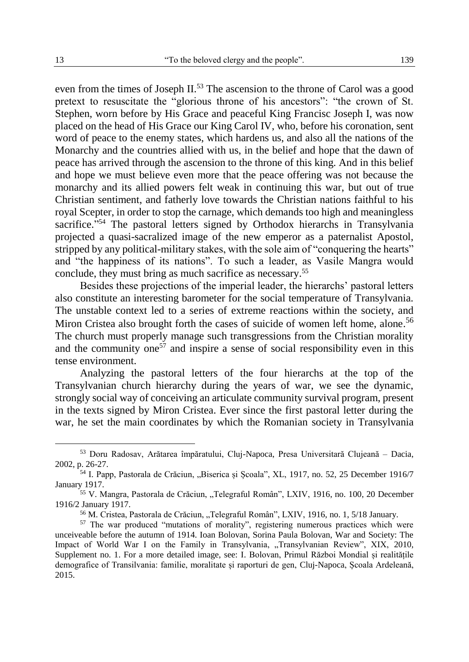even from the times of Joseph II.<sup>53</sup> The ascension to the throne of Carol was a good pretext to resuscitate the "glorious throne of his ancestors": "the crown of St. Stephen, worn before by His Grace and peaceful King Francisc Joseph I, was now placed on the head of His Grace our King Carol IV, who, before his coronation, sent word of peace to the enemy states, which hardens us, and also all the nations of the Monarchy and the countries allied with us, in the belief and hope that the dawn of peace has arrived through the ascension to the throne of this king. And in this belief and hope we must believe even more that the peace offering was not because the monarchy and its allied powers felt weak in continuing this war, but out of true Christian sentiment, and fatherly love towards the Christian nations faithful to his royal Scepter, in order to stop the carnage, which demands too high and meaningless sacrifice."<sup>54</sup> The pastoral letters signed by Orthodox hierarchs in Transylvania projected a quasi-sacralized image of the new emperor as a paternalist Apostol, stripped by any political-military stakes, with the sole aim of "conquering the hearts" and "the happiness of its nations". To such a leader, as Vasile Mangra would conclude, they must bring as much sacrifice as necessary. 55

Besides these projections of the imperial leader, the hierarchs' pastoral letters also constitute an interesting barometer for the social temperature of Transylvania. The unstable context led to a series of extreme reactions within the society, and Miron Cristea also brought forth the cases of suicide of women left home, alone.<sup>56</sup> The church must properly manage such transgressions from the Christian morality and the community one<sup>57</sup> and inspire a sense of social responsibility even in this tense environment.

Analyzing the pastoral letters of the four hierarchs at the top of the Transylvanian church hierarchy during the years of war, we see the dynamic, strongly social way of conceiving an articulate community survival program, present in the texts signed by Miron Cristea. Ever since the first pastoral letter during the war, he set the main coordinates by which the Romanian society in Transylvania

<sup>53</sup> Doru Radosav, Arătarea împăratului, Cluj-Napoca, Presa Universitară Clujeană – Dacia, 2002, p. 26-27.

<sup>54</sup> I. Papp, Pastorala de Crăciun, "Biserica și Școala", XL, 1917, no. 52, 25 December 1916/7 January 1917.

<sup>&</sup>lt;sup>55</sup> V. Mangra, Pastorala de Crăciun, "Telegraful Român", LXIV, 1916, no. 100, 20 December 1916/2 January 1917.

<sup>&</sup>lt;sup>56</sup> M. Cristea, Pastorala de Crăciun, "Telegraful Român", LXIV, 1916, no. 1, 5/18 January.

<sup>57</sup> The war produced "mutations of morality", registering numerous practices which were unceiveable before the autumn of 1914. Ioan Bolovan, Sorina Paula Bolovan, War and Society: The Impact of World War I on the Family in Transylvania, "Transylvanian Review", XIX, 2010, Supplement no. 1. For a more detailed image, see: I. Bolovan, Primul Război Mondial și realitățile demografice of Transilvania: familie, moralitate și raporturi de gen, Cluj-Napoca, Școala Ardeleană, 2015.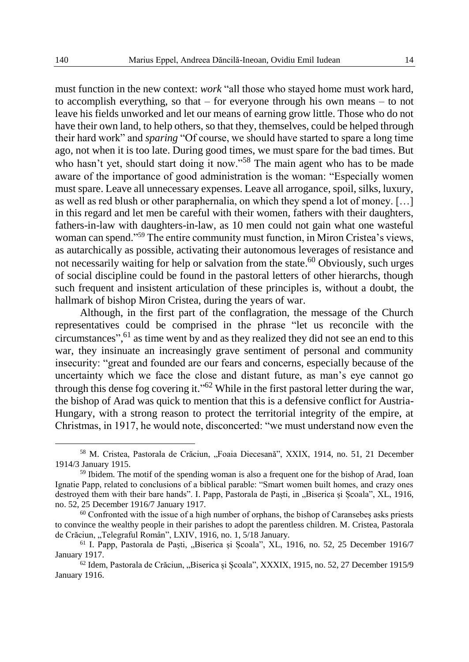must function in the new context: *work* "all those who stayed home must work hard, to accomplish everything, so that  $-$  for everyone through his own means  $-$  to not leave his fields unworked and let our means of earning grow little. Those who do not have their own land, to help others, so that they, themselves, could be helped through their hard work" and *sparing* "Of course, we should have started to spare a long time ago, not when it is too late. During good times, we must spare for the bad times. But who hasn't yet, should start doing it now."<sup>58</sup> The main agent who has to be made aware of the importance of good administration is the woman: "Especially women must spare. Leave all unnecessary expenses. Leave all arrogance, spoil, silks, luxury, as well as red blush or other paraphernalia, on which they spend a lot of money. […] in this regard and let men be careful with their women, fathers with their daughters, fathers-in-law with daughters-in-law, as 10 men could not gain what one wasteful woman can spend." <sup>59</sup> The entire community must function, in Miron Cristea's views, as autarchically as possible, activating their autonomous leverages of resistance and not necessarily waiting for help or salvation from the state. <sup>60</sup> Obviously, such urges of social discipline could be found in the pastoral letters of other hierarchs, though such frequent and insistent articulation of these principles is, without a doubt, the hallmark of bishop Miron Cristea, during the years of war.

Although, in the first part of the conflagration, the message of the Church representatives could be comprised in the phrase "let us reconcile with the circumstances", <sup>61</sup> as time went by and as they realized they did not see an end to this war, they insinuate an increasingly grave sentiment of personal and community insecurity: "great and founded are our fears and concerns, especially because of the uncertainty which we face the close and distant future, as man's eye cannot go through this dense fog covering it."<sup>62</sup> While in the first pastoral letter during the war, the bishop of Arad was quick to mention that this is a defensive conflict for Austria-Hungary, with a strong reason to protect the territorial integrity of the empire, at Christmas, in 1917, he would note, disconcerted: "we must understand now even the

<sup>&</sup>lt;sup>58</sup> M. Cristea, Pastorala de Crăciun, "Foaia Diecesană", XXIX, 1914, no. 51, 21 December 1914/3 January 1915.

<sup>59</sup> Ibidem. The motif of the spending woman is also a frequent one for the bishop of Arad, Ioan Ignatie Papp, related to conclusions of a biblical parable: "Smart women built homes, and crazy ones destroyed them with their bare hands". I. Papp, Pastorala de Paști, in "Biserica și Școala", XL, 1916, no. 52, 25 December 1916/7 January 1917.

<sup>&</sup>lt;sup>60</sup> Confronted with the issue of a high number of orphans, the bishop of Caransebeș asks priests to convince the wealthy people in their parishes to adopt the parentless children. M. Cristea, Pastorala de Crăciun, "Telegraful Român", LXIV, 1916, no. 1, 5/18 January.

<sup>&</sup>lt;sup>61</sup> I. Papp, Pastorala de Paști, "Biserica și Școala", XL, 1916, no. 52, 25 December 1916/7 January 1917.

<sup>62</sup> Idem, Pastorala de Crăciun, "Biserica și Școala", XXXIX, 1915, no. 52, 27 December 1915/9 January 1916.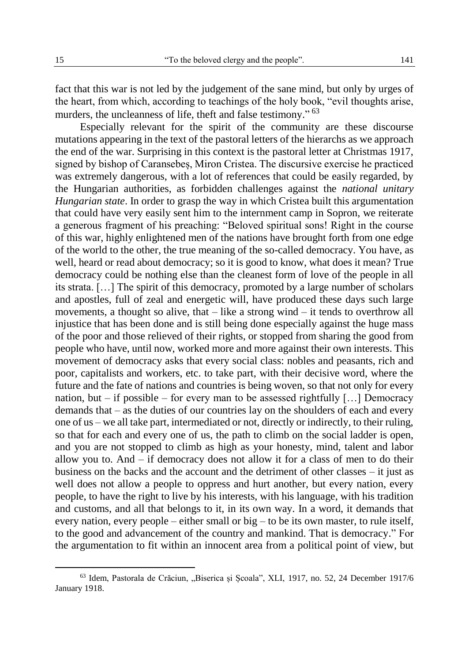fact that this war is not led by the judgement of the sane mind, but only by urges of the heart, from which, according to teachings of the holy book, "evil thoughts arise, murders, the uncleanness of life, theft and false testimony." <sup>63</sup>

Especially relevant for the spirit of the community are these discourse mutations appearing in the text of the pastoral letters of the hierarchs as we approach the end of the war. Surprising in this context is the pastoral letter at Christmas 1917, signed by bishop of Caransebeș, Miron Cristea. The discursive exercise he practiced was extremely dangerous, with a lot of references that could be easily regarded, by the Hungarian authorities, as forbidden challenges against the *national unitary Hungarian state*. In order to grasp the way in which Cristea built this argumentation that could have very easily sent him to the internment camp in Sopron, we reiterate a generous fragment of his preaching: "Beloved spiritual sons! Right in the course of this war, highly enlightened men of the nations have brought forth from one edge of the world to the other, the true meaning of the so-called democracy. You have, as well, heard or read about democracy; so it is good to know, what does it mean? True democracy could be nothing else than the cleanest form of love of the people in all its strata. […] The spirit of this democracy, promoted by a large number of scholars and apostles, full of zeal and energetic will, have produced these days such large movements, a thought so alive, that – like a strong wind – it tends to overthrow all injustice that has been done and is still being done especially against the huge mass of the poor and those relieved of their rights, or stopped from sharing the good from people who have, until now, worked more and more against their own interests. This movement of democracy asks that every social class: nobles and peasants, rich and poor, capitalists and workers, etc. to take part, with their decisive word, where the future and the fate of nations and countries is being woven, so that not only for every nation, but – if possible – for every man to be assessed rightfully […] Democracy demands that – as the duties of our countries lay on the shoulders of each and every one of us – we all take part, intermediated or not, directly or indirectly, to their ruling, so that for each and every one of us, the path to climb on the social ladder is open, and you are not stopped to climb as high as your honesty, mind, talent and labor allow you to. And  $-$  if democracy does not allow it for a class of men to do their business on the backs and the account and the detriment of other classes – it just as well does not allow a people to oppress and hurt another, but every nation, every people, to have the right to live by his interests, with his language, with his tradition and customs, and all that belongs to it, in its own way. In a word, it demands that every nation, every people – either small or big – to be its own master, to rule itself, to the good and advancement of the country and mankind. That is democracy." For the argumentation to fit within an innocent area from a political point of view, but

<sup>63</sup> Idem, Pastorala de Crăciun, "Biserica și Școala", XLI, 1917, no. 52, 24 December 1917/6 January 1918.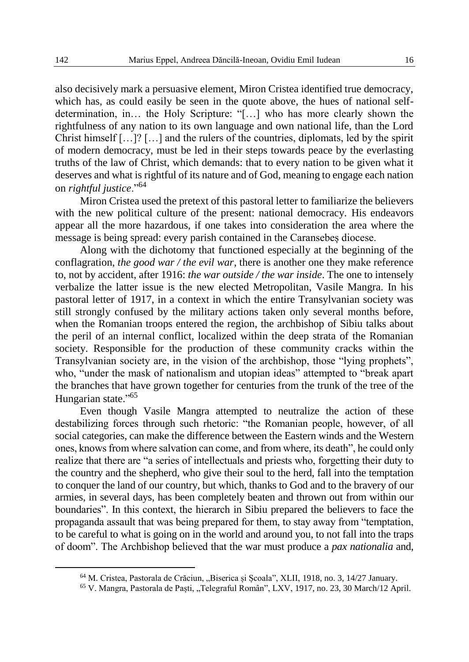also decisively mark a persuasive element, Miron Cristea identified true democracy, which has, as could easily be seen in the quote above, the hues of national selfdetermination, in… the Holy Scripture: "[…] who has more clearly shown the rightfulness of any nation to its own language and own national life, than the Lord Christ himself […]? […] and the rulers of the countries, diplomats, led by the spirit of modern democracy, must be led in their steps towards peace by the everlasting truths of the law of Christ, which demands: that to every nation to be given what it deserves and what is rightful of its nature and of God, meaning to engage each nation on *rightful justice*."<sup>64</sup>

Miron Cristea used the pretext of this pastoral letter to familiarize the believers with the new political culture of the present: national democracy. His endeavors appear all the more hazardous, if one takes into consideration the area where the message is being spread: every parish contained in the Caransebeș diocese.

Along with the dichotomy that functioned especially at the beginning of the conflagration, *the good war / the evil war*, there is another one they make reference to, not by accident, after 1916: *the war outside / the war inside*. The one to intensely verbalize the latter issue is the new elected Metropolitan, Vasile Mangra. In his pastoral letter of 1917, in a context in which the entire Transylvanian society was still strongly confused by the military actions taken only several months before, when the Romanian troops entered the region, the archbishop of Sibiu talks about the peril of an internal conflict, localized within the deep strata of the Romanian society. Responsible for the production of these community cracks within the Transylvanian society are, in the vision of the archbishop, those "lying prophets", who, "under the mask of nationalism and utopian ideas" attempted to "break apart the branches that have grown together for centuries from the trunk of the tree of the Hungarian state."<sup>65</sup>

Even though Vasile Mangra attempted to neutralize the action of these destabilizing forces through such rhetoric: "the Romanian people, however, of all social categories, can make the difference between the Eastern winds and the Western ones, knows from where salvation can come, and from where, its death", he could only realize that there are "a series of intellectuals and priests who, forgetting their duty to the country and the shepherd, who give their soul to the herd, fall into the temptation to conquer the land of our country, but which, thanks to God and to the bravery of our armies, in several days, has been completely beaten and thrown out from within our boundaries". In this context, the hierarch in Sibiu prepared the believers to face the propaganda assault that was being prepared for them, to stay away from "temptation, to be careful to what is going on in the world and around you, to not fall into the traps of doom". The Archbishop believed that the war must produce a *pax nationalia* and,

<sup>&</sup>lt;sup>64</sup> M. Cristea, Pastorala de Crăciun, "Biserica și Școala", XLII, 1918, no. 3, 14/27 January.

<sup>&</sup>lt;sup>65</sup> V. Mangra, Pastorala de Paști, "Telegraful Român", LXV, 1917, no. 23, 30 March/12 April.